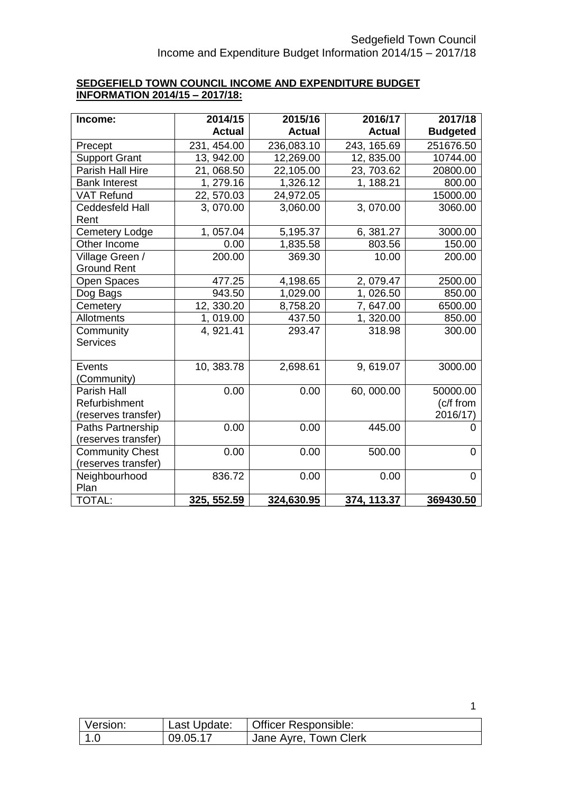## **SEDGEFIELD TOWN COUNCIL INCOME AND EXPENDITURE BUDGET INFORMATION 2014/15 – 2017/18:**

| Income:                | 2014/15       | 2015/16       | 2016/17       | 2017/18         |
|------------------------|---------------|---------------|---------------|-----------------|
|                        | <b>Actual</b> | <b>Actual</b> | <b>Actual</b> | <b>Budgeted</b> |
| Precept                | 231, 454.00   | 236,083.10    | 243, 165.69   | 251676.50       |
| <b>Support Grant</b>   | 13, 942.00    | 12,269.00     | 12, 835.00    | 10744.00        |
| Parish Hall Hire       | 21,068.50     | 22,105.00     | 23, 703.62    | 20800.00        |
| <b>Bank Interest</b>   | 1, 279.16     | 1,326.12      | 1, 188.21     | 800.00          |
| <b>VAT Refund</b>      | 22, 570.03    | 24,972.05     |               | 15000.00        |
| <b>Ceddesfeld Hall</b> | 3,070.00      | 3,060.00      | 3,070.00      | 3060.00         |
| Rent                   |               |               |               |                 |
| <b>Cemetery Lodge</b>  | 1, 057.04     | 5,195.37      | 6, 381.27     | 3000.00         |
| Other Income           | 0.00          | 1,835.58      | 803.56        | 150.00          |
| Village Green /        | 200.00        | 369.30        | 10.00         | 200.00          |
| <b>Ground Rent</b>     |               |               |               |                 |
| <b>Open Spaces</b>     | 477.25        | 4,198.65      | 2, 079.47     | 2500.00         |
| Dog Bags               | 943.50        | 1,029.00      | 1,026.50      | 850.00          |
| Cemetery               | 12, 330.20    | 8,758.20      | 7,647.00      | 6500.00         |
| Allotments             | 1,019.00      | 437.50        | 1,320.00      | 850.00          |
| Community              | 4, 921.41     | 293.47        | 318.98        | 300.00          |
| <b>Services</b>        |               |               |               |                 |
|                        |               |               |               |                 |
| Events                 | 10, 383.78    | 2,698.61      | 9,619.07      | 3000.00         |
| (Community)            |               |               |               |                 |
| <b>Parish Hall</b>     | 0.00          | 0.00          | 60,000.00     | 50000.00        |
| Refurbishment          |               |               |               | (c/f from       |
| (reserves transfer)    |               |               |               | 2016/17)        |
| Paths Partnership      | 0.00          | 0.00          | 445.00        | 0               |
| (reserves transfer)    |               |               |               |                 |
| <b>Community Chest</b> | 0.00          | 0.00          | 500.00        | 0               |
| (reserves transfer)    |               |               |               |                 |
| Neighbourhood          | 836.72        | 0.00          | 0.00          | 0               |
| Plan                   |               |               |               |                 |
| <b>TOTAL:</b>          | 325, 552.59   | 324,630.95    | 374, 113.37   | 369430.50       |

| Version: | Last Update: | Officer Responsible:  |
|----------|--------------|-----------------------|
| 1.0      | 09.05.17     | Jane Ayre, Town Clerk |

1